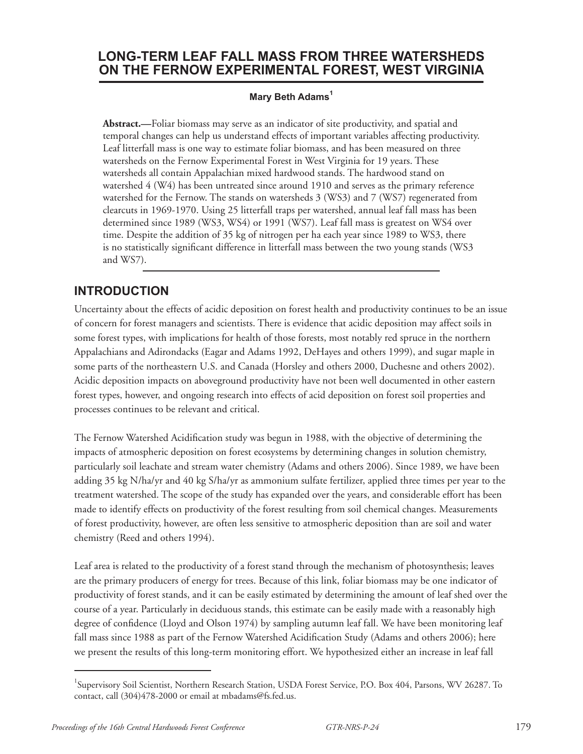# **Long-term Leaf fall MASS from THREE Watersheds on the Fernow Experimental Forest, West virginia**

#### **Mary Beth Adams<sup>1</sup>**

**Abstract.—**Foliar biomass may serve as an indicator of site productivity, and spatial and temporal changes can help us understand effects of important variables affecting productivity. Leaf litterfall mass is one way to estimate foliar biomass, and has been measured on three watersheds on the Fernow Experimental Forest in West Virginia for 19 years. These watersheds all contain Appalachian mixed hardwood stands. The hardwood stand on watershed 4 (W4) has been untreated since around 1910 and serves as the primary reference watershed for the Fernow. The stands on watersheds 3 (WS3) and 7 (WS7) regenerated from clearcuts in 1969-1970. Using 25 litterfall traps per watershed, annual leaf fall mass has been determined since 1989 (WS3, WS4) or 1991 (WS7). Leaf fall mass is greatest on WS4 over time. Despite the addition of 35 kg of nitrogen per ha each year since 1989 to WS3, there is no statistically significant difference in litterfall mass between the two young stands (WS3 and WS7).

### **Introduction**

Uncertainty about the effects of acidic deposition on forest health and productivity continues to be an issue of concern for forest managers and scientists. There is evidence that acidic deposition may affect soils in some forest types, with implications for health of those forests, most notably red spruce in the northern Appalachians and Adirondacks (Eagar and Adams 1992, DeHayes and others 1999), and sugar maple in some parts of the northeastern U.S. and Canada (Horsley and others 2000, Duchesne and others 2002). Acidic deposition impacts on aboveground productivity have not been well documented in other eastern forest types, however, and ongoing research into effects of acid deposition on forest soil properties and processes continues to be relevant and critical.

The Fernow Watershed Acidification study was begun in 1988, with the objective of determining the impacts of atmospheric deposition on forest ecosystems by determining changes in solution chemistry, particularly soil leachate and stream water chemistry (Adams and others 2006). Since 1989, we have been adding 35 kg N/ha/yr and 40 kg S/ha/yr as ammonium sulfate fertilizer, applied three times per year to the treatment watershed. The scope of the study has expanded over the years, and considerable effort has been made to identify effects on productivity of the forest resulting from soil chemical changes. Measurements of forest productivity, however, are often less sensitive to atmospheric deposition than are soil and water chemistry (Reed and others 1994).

Leaf area is related to the productivity of a forest stand through the mechanism of photosynthesis; leaves are the primary producers of energy for trees. Because of this link, foliar biomass may be one indicator of productivity of forest stands, and it can be easily estimated by determining the amount of leaf shed over the course of a year. Particularly in deciduous stands, this estimate can be easily made with a reasonably high degree of confidence (Lloyd and Olson 1974) by sampling autumn leaf fall. We have been monitoring leaf fall mass since 1988 as part of the Fernow Watershed Acidification Study (Adams and others 2006); here we present the results of this long-term monitoring effort. We hypothesized either an increase in leaf fall

<sup>&</sup>lt;sup>1</sup>Supervisory Soil Scientist, Northern Research Station, USDA Forest Service, P.O. Box 404, Parsons, WV 26287. To contact, call (304)478-2000 or email at mbadams@fs.fed.us.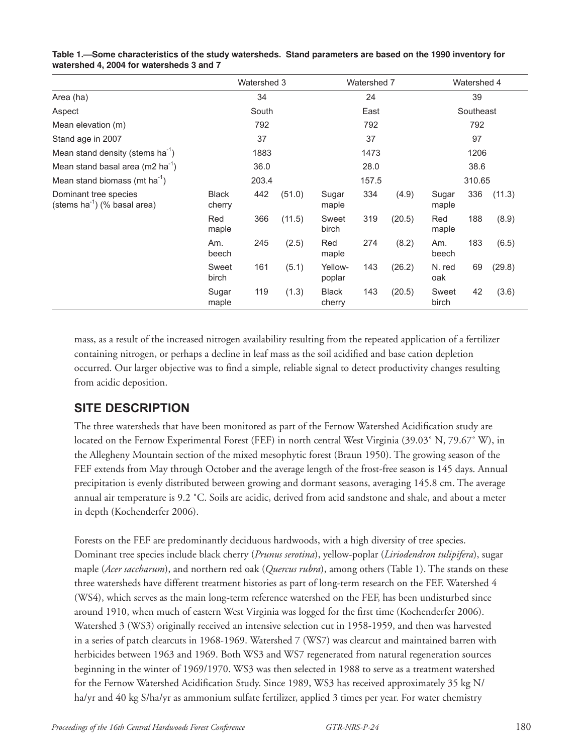|                                                            | Watershed 3            |     | Watershed 7 |                        |     | Watershed 4 |                |     |        |
|------------------------------------------------------------|------------------------|-----|-------------|------------------------|-----|-------------|----------------|-----|--------|
| Area (ha)                                                  | 34                     |     |             | 24                     |     |             | 39             |     |        |
| Aspect                                                     | South                  |     |             | East                   |     |             | Southeast      |     |        |
| Mean elevation (m)                                         | 792                    |     |             | 792                    |     |             | 792            |     |        |
| Stand age in 2007                                          | 37                     |     |             | 37                     |     |             | 97             |     |        |
| Mean stand density (stems $ha^{-1}$ )                      | 1883                   |     |             | 1473                   |     |             | 1206           |     |        |
| Mean stand basal area (m2 ha <sup>-1</sup> )               | 36.0                   |     |             | 28.0                   |     |             | 38.6           |     |        |
| Mean stand biomass (mt ha <sup>-1</sup> )                  | 203.4                  |     |             | 157.5                  |     |             | 310.65         |     |        |
| Dominant tree species<br>(stems $ha^{-1}$ ) (% basal area) | <b>Black</b><br>cherry | 442 | (51.0)      | Sugar<br>maple         | 334 | (4.9)       | Sugar<br>maple | 336 | (11.3) |
|                                                            | Red<br>maple           | 366 | (11.5)      | Sweet<br>birch         | 319 | (20.5)      | Red<br>maple   | 188 | (8.9)  |
|                                                            | Am.<br>beech           | 245 | (2.5)       | Red<br>maple           | 274 | (8.2)       | Am.<br>beech   | 183 | (6.5)  |
|                                                            | Sweet<br>birch         | 161 | (5.1)       | Yellow-<br>poplar      | 143 | (26.2)      | N. red<br>oak  | 69  | (29.8) |
|                                                            | Sugar<br>maple         | 119 | (1.3)       | <b>Black</b><br>cherry | 143 | (20.5)      | Sweet<br>birch | 42  | (3.6)  |

| Table 1.—Some characteristics of the study watersheds. Stand parameters are based on the 1990 inventory for |  |
|-------------------------------------------------------------------------------------------------------------|--|
| watershed 4, 2004 for watersheds 3 and 7                                                                    |  |

mass, as a result of the increased nitrogen availability resulting from the repeated application of a fertilizer containing nitrogen, or perhaps a decline in leaf mass as the soil acidified and base cation depletion occurred. Our larger objective was to find a simple, reliable signal to detect productivity changes resulting from acidic deposition.

### **Site description**

The three watersheds that have been monitored as part of the Fernow Watershed Acidification study are located on the Fernow Experimental Forest (FEF) in north central West Virginia (39.03˚ N, 79.67˚ W), in the Allegheny Mountain section of the mixed mesophytic forest (Braun 1950). The growing season of the FEF extends from May through October and the average length of the frost-free season is 145 days. Annual precipitation is evenly distributed between growing and dormant seasons, averaging 145.8 cm. The average annual air temperature is 9.2 ˚C. Soils are acidic, derived from acid sandstone and shale, and about a meter in depth (Kochenderfer 2006).

Forests on the FEF are predominantly deciduous hardwoods, with a high diversity of tree species. Dominant tree species include black cherry (*Prunus serotina*), yellow-poplar (*Liriodendron tulipifera*), sugar maple (*Acer saccharum*), and northern red oak (*Quercus rubra*), among others (Table 1). The stands on these three watersheds have different treatment histories as part of long-term research on the FEF. Watershed 4 (WS4), which serves as the main long-term reference watershed on the FEF, has been undisturbed since around 1910, when much of eastern West Virginia was logged for the first time (Kochenderfer 2006). Watershed 3 (WS3) originally received an intensive selection cut in 1958-1959, and then was harvested in a series of patch clearcuts in 1968-1969. Watershed 7 (WS7) was clearcut and maintained barren with herbicides between 1963 and 1969. Both WS3 and WS7 regenerated from natural regeneration sources beginning in the winter of 1969/1970. WS3 was then selected in 1988 to serve as a treatment watershed for the Fernow Watershed Acidification Study. Since 1989, WS3 has received approximately 35 kg N/ ha/yr and 40 kg S/ha/yr as ammonium sulfate fertilizer, applied 3 times per year. For water chemistry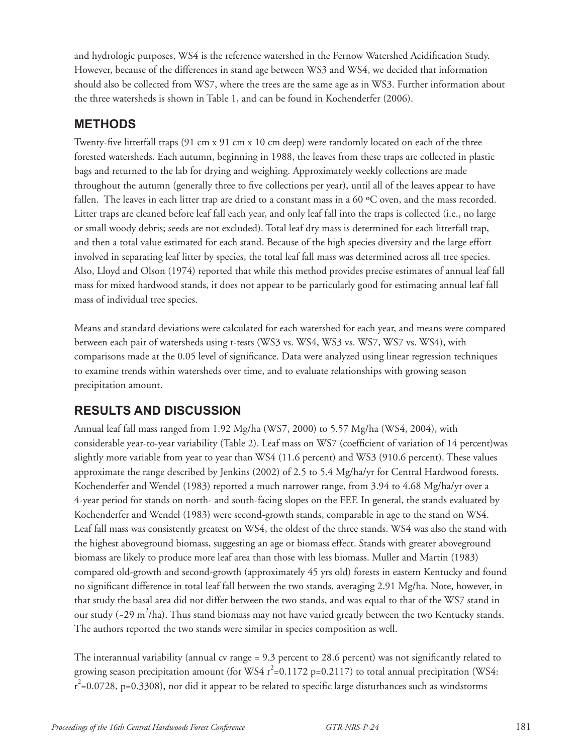and hydrologic purposes, WS4 is the reference watershed in the Fernow Watershed Acidification Study. However, because of the differences in stand age between WS3 and WS4, we decided that information should also be collected from WS7, where the trees are the same age as in WS3. Further information about the three watersheds is shown in Table 1, and can be found in Kochenderfer (2006).

### **Methods**

Twenty-five litterfall traps (91 cm x 91 cm x 10 cm deep) were randomly located on each of the three forested watersheds. Each autumn, beginning in 1988, the leaves from these traps are collected in plastic bags and returned to the lab for drying and weighing. Approximately weekly collections are made throughout the autumn (generally three to five collections per year), until all of the leaves appear to have fallen. The leaves in each litter trap are dried to a constant mass in a 60 ºC oven, and the mass recorded. Litter traps are cleaned before leaf fall each year, and only leaf fall into the traps is collected (i.e., no large or small woody debris; seeds are not excluded). Total leaf dry mass is determined for each litterfall trap, and then a total value estimated for each stand. Because of the high species diversity and the large effort involved in separating leaf litter by species, the total leaf fall mass was determined across all tree species. Also, Lloyd and Olson (1974) reported that while this method provides precise estimates of annual leaf fall mass for mixed hardwood stands, it does not appear to be particularly good for estimating annual leaf fall mass of individual tree species.

Means and standard deviations were calculated for each watershed for each year, and means were compared between each pair of watersheds using t-tests (WS3 vs. WS4, WS3 vs. WS7, WS7 vs. WS4), with comparisons made at the 0.05 level of significance. Data were analyzed using linear regression techniques to examine trends within watersheds over time, and to evaluate relationships with growing season precipitation amount.

# **Results and discussion**

Annual leaf fall mass ranged from 1.92 Mg/ha (WS7, 2000) to 5.57 Mg/ha (WS4, 2004), with considerable year-to-year variability (Table 2). Leaf mass on WS7 (coefficient of variation of 14 percent)was slightly more variable from year to year than WS4 (11.6 percent) and WS3 (910.6 percent). These values approximate the range described by Jenkins (2002) of 2.5 to 5.4 Mg/ha/yr for Central Hardwood forests. Kochenderfer and Wendel (1983) reported a much narrower range, from 3.94 to 4.68 Mg/ha/yr over a 4-year period for stands on north- and south-facing slopes on the FEF. In general, the stands evaluated by Kochenderfer and Wendel (1983) were second-growth stands, comparable in age to the stand on WS4. Leaf fall mass was consistently greatest on WS4, the oldest of the three stands. WS4 was also the stand with the highest aboveground biomass, suggesting an age or biomass effect. Stands with greater aboveground biomass are likely to produce more leaf area than those with less biomass. Muller and Martin (1983) compared old-growth and second-growth (approximately 45 yrs old) forests in eastern Kentucky and found no significant difference in total leaf fall between the two stands, averaging 2.91 Mg/ha. Note, however, in that study the basal area did not differ between the two stands, and was equal to that of the WS7 stand in our study (~29 m<sup>2</sup>/ha). Thus stand biomass may not have varied greatly between the two Kentucky stands. The authors reported the two stands were similar in species composition as well.

The interannual variability (annual cv range = 9.3 percent to 28.6 percent) was not significantly related to growing season precipitation amount (for WS4  $r^2$ =0.1172 p=0.2117) to total annual precipitation (WS4:  $r^2$ =0.0728, p=0.3308), nor did it appear to be related to specific large disturbances such as windstorms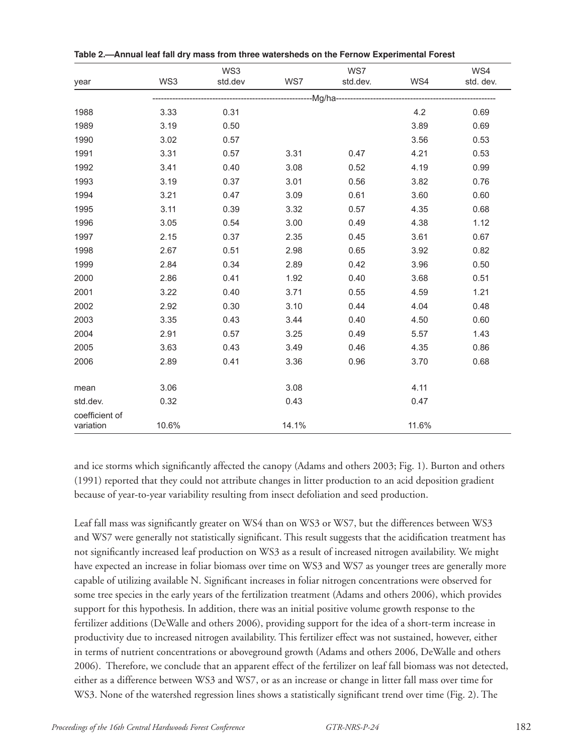|                             |                             | WS3     |       | WS7      |       | WS4       |  |  |  |  |
|-----------------------------|-----------------------------|---------|-------|----------|-------|-----------|--|--|--|--|
| year                        | WS3                         | std.dev | WS7   | std.dev. | WS4   | std. dev. |  |  |  |  |
|                             | --------------------Mg/ha-- |         |       |          |       |           |  |  |  |  |
| 1988                        | 3.33                        | 0.31    |       |          | 4.2   | 0.69      |  |  |  |  |
| 1989                        | 3.19                        | 0.50    |       |          | 3.89  | 0.69      |  |  |  |  |
| 1990                        | 3.02                        | 0.57    |       |          | 3.56  | 0.53      |  |  |  |  |
| 1991                        | 3.31                        | 0.57    | 3.31  | 0.47     | 4.21  | 0.53      |  |  |  |  |
| 1992                        | 3.41                        | 0.40    | 3.08  | 0.52     | 4.19  | 0.99      |  |  |  |  |
| 1993                        | 3.19                        | 0.37    | 3.01  | 0.56     | 3.82  | 0.76      |  |  |  |  |
| 1994                        | 3.21                        | 0.47    | 3.09  | 0.61     | 3.60  | 0.60      |  |  |  |  |
| 1995                        | 3.11                        | 0.39    | 3.32  | 0.57     | 4.35  | 0.68      |  |  |  |  |
| 1996                        | 3.05                        | 0.54    | 3.00  | 0.49     | 4.38  | 1.12      |  |  |  |  |
| 1997                        | 2.15                        | 0.37    | 2.35  | 0.45     | 3.61  | 0.67      |  |  |  |  |
| 1998                        | 2.67                        | 0.51    | 2.98  | 0.65     | 3.92  | 0.82      |  |  |  |  |
| 1999                        | 2.84                        | 0.34    | 2.89  | 0.42     | 3.96  | 0.50      |  |  |  |  |
| 2000                        | 2.86                        | 0.41    | 1.92  | 0.40     | 3.68  | 0.51      |  |  |  |  |
| 2001                        | 3.22                        | 0.40    | 3.71  | 0.55     | 4.59  | 1.21      |  |  |  |  |
| 2002                        | 2.92                        | 0.30    | 3.10  | 0.44     | 4.04  | 0.48      |  |  |  |  |
| 2003                        | 3.35                        | 0.43    | 3.44  | 0.40     | 4.50  | 0.60      |  |  |  |  |
| 2004                        | 2.91                        | 0.57    | 3.25  | 0.49     | 5.57  | 1.43      |  |  |  |  |
| 2005                        | 3.63                        | 0.43    | 3.49  | 0.46     | 4.35  | 0.86      |  |  |  |  |
| 2006                        | 2.89                        | 0.41    | 3.36  | 0.96     | 3.70  | 0.68      |  |  |  |  |
|                             |                             |         |       |          |       |           |  |  |  |  |
| mean                        | 3.06                        |         | 3.08  |          | 4.11  |           |  |  |  |  |
| std.dev.                    | 0.32                        |         | 0.43  |          | 0.47  |           |  |  |  |  |
| coefficient of<br>variation | 10.6%                       |         | 14.1% |          | 11.6% |           |  |  |  |  |

**Table 2.—Annual leaf fall dry mass from three watersheds on the Fernow Experimental Forest**

and ice storms which significantly affected the canopy (Adams and others 2003; Fig. 1). Burton and others (1991) reported that they could not attribute changes in litter production to an acid deposition gradient because of year-to-year variability resulting from insect defoliation and seed production.

Leaf fall mass was significantly greater on WS4 than on WS3 or WS7, but the differences between WS3 and WS7 were generally not statistically significant. This result suggests that the acidification treatment has not significantly increased leaf production on WS3 as a result of increased nitrogen availability. We might have expected an increase in foliar biomass over time on WS3 and WS7 as younger trees are generally more capable of utilizing available N. Significant increases in foliar nitrogen concentrations were observed for some tree species in the early years of the fertilization treatment (Adams and others 2006), which provides support for this hypothesis. In addition, there was an initial positive volume growth response to the fertilizer additions (DeWalle and others 2006), providing support for the idea of a short-term increase in productivity due to increased nitrogen availability. This fertilizer effect was not sustained, however, either in terms of nutrient concentrations or aboveground growth (Adams and others 2006, DeWalle and others 2006). Therefore, we conclude that an apparent effect of the fertilizer on leaf fall biomass was not detected, either as a difference between WS3 and WS7, or as an increase or change in litter fall mass over time for WS3. None of the watershed regression lines shows a statistically significant trend over time (Fig. 2). The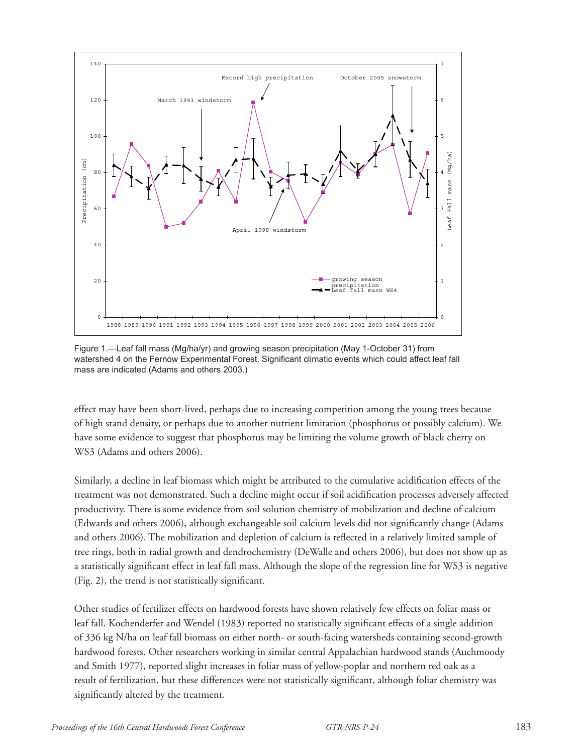

Figure 1.—Leaf fall mass (Mg/ha/yr) and growing season precipitation (May 1-October 31) from watershed 4 on the Fernow Experimental Forest. Significant climatic events which could affect leaf fall mass are indicated (Adams and others 2003.)

effect may have been short-lived, perhaps due to increasing competition among the young trees because of high stand density, or perhaps due to another nutrient limitation (phosphorus or possibly calcium). We have some evidence to suggest that phosphorus may be limiting the volume growth of black cherry on WS3 (Adams and others 2006).

Similarly, a decline in leaf biomass which might be attributed to the cumulative acidification effects of the treatment was not demonstrated. Such a decline might occur if soil acidification processes adversely affected productivity. There is some evidence from soil solution chemistry of mobilization and decline of calcium (Edwards and others 2006), although exchangeable soil calcium levels did not significantly change (Adams and others 2006). The mobilization and depletion of calcium is reflected in a relatively limited sample of tree rings, both in radial growth and dendrochemistry (DeWalle and others 2006), but does not show up as a statistically significant effect in leaf fall mass. Although the slope of the regression line for WS3 is negative (Fig. 2), the trend is not statistically significant.

Other studies of fertilizer effects on hardwood forests have shown relatively few effects on foliar mass or leaf fall. Kochenderfer and Wendel (1983) reported no statistically significant effects of a single addition of 336 kg N/ha on leaf fall biomass on either north- or south-facing watersheds containing second-growth hardwood forests. Other researchers working in similar central Appalachian hardwood stands (Auchmoody and Smith 1977), reported slight increases in foliar mass of yellow-poplar and northern red oak as a result of fertilization, but these differences were not statistically significant, although foliar chemistry was significantly altered by the treatment.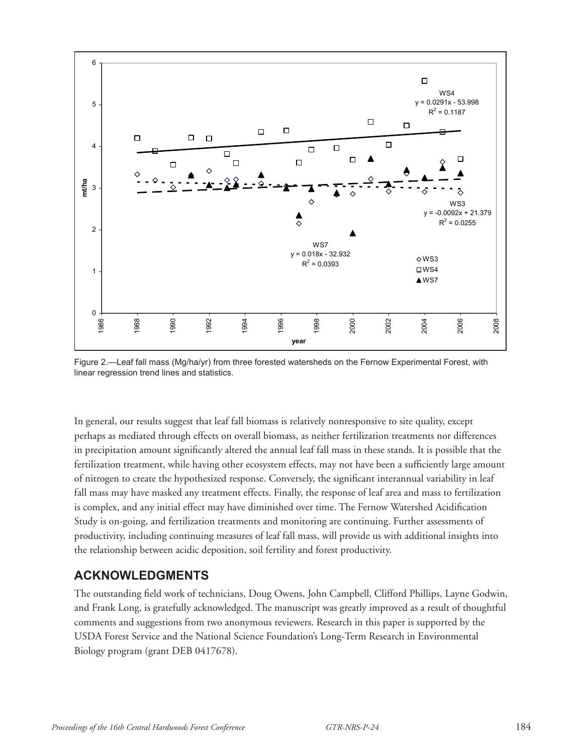

Figure 2.—Leaf fall mass (Mg/ha/yr) from three forested watersheds on the Fernow Experimental Forest, with linear regression trend lines and statistics.

In general, our results suggest that leaf fall biomass is relatively nonresponsive to site quality, except perhaps as mediated through effects on overall biomass, as neither fertilization treatments nor differences in precipitation amount significantly altered the annual leaf fall mass in these stands. It is possible that the fertilization treatment, while having other ecosystem effects, may not have been a sufficiently large amount of nitrogen to create the hypothesized response. Conversely, the significant interannual variability in leaf fall mass may have masked any treatment effects. Finally, the response of leaf area and mass to fertilization is complex, and any initial effect may have diminished over time. The Fernow Watershed Acidification Study is on-going, and fertilization treatments and monitoring are continuing. Further assessments of productivity, including continuing measures of leaf fall mass, will provide us with additional insights into the relationship between acidic deposition, soil fertility and forest productivity.

### **ACKNOWLEDGMENTS**

The outstanding field work of technicians, Doug Owens, John Campbell, Clifford Phillips, Layne Godwin, and Frank Long, is gratefully acknowledged. The manuscript was greatly improved as a result of thoughtful comments and suggestions from two anonymous reviewers. Research in this paper is supported by the USDA Forest Service and the National Science Foundation's Long-Term Research in Environmental Biology program (grant DEB 0417678).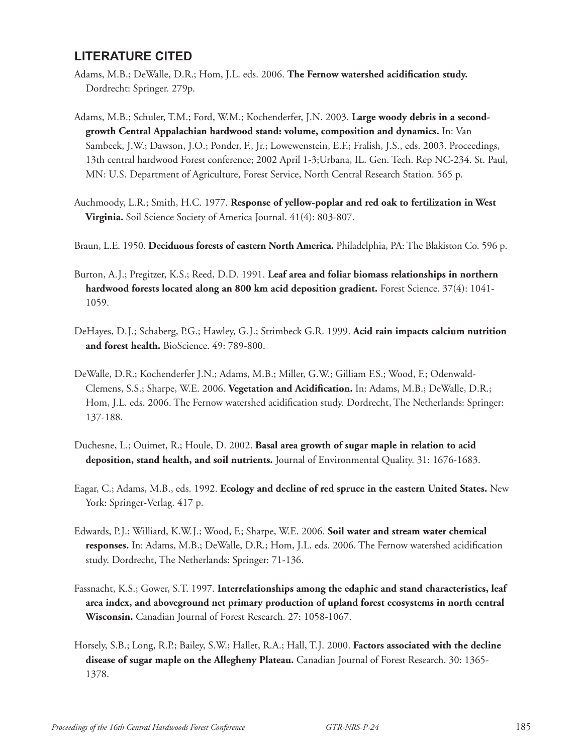## **LITERATURE CITED**

- Adams, M.B.; DeWalle, D.R.; Hom, J.L. eds. 2006. **The Fernow watershed acidification study.** Dordrecht: Springer. 279p.
- Adams, M.B.; Schuler, T.M.; Ford, W.M.; Kochenderfer, J.N. 2003. **Large woody debris in a secondgrowth Central Appalachian hardwood stand: volume, composition and dynamics.** In: Van Sambeek, J.W.; Dawson, J.O.; Ponder, F., Jr.; Lowewenstein, E.F.; Fralish, J.S., eds. 2003. Proceedings, 13th central hardwood Forest conference; 2002 April 1-3;Urbana, IL. Gen. Tech. Rep NC-234. St. Paul, MN: U.S. Department of Agriculture, Forest Service, North Central Research Station. 565 p.
- Auchmoody, L.R.; Smith, H.C. 1977. **Response of yellow-poplar and red oak to fertilization in West Virginia.** Soil Science Society of America Journal. 41(4): 803-807.
- Braun, L.E. 1950. **Deciduous forests of eastern North America.** Philadelphia, PA: The Blakiston Co. 596 p.
- Burton, A.J.; Pregitzer, K.S.; Reed, D.D. 1991. **Leaf area and foliar biomass relationships in northern hardwood forests located along an 800 km acid deposition gradient.** Forest Science. 37(4): 1041- 1059.
- DeHayes, D.J.; Schaberg, P.G.; Hawley, G.J.; Strimbeck G.R. 1999. **Acid rain impacts calcium nutrition and forest health.** BioScience. 49: 789-800.
- DeWalle, D.R.; Kochenderfer J.N.; Adams, M.B.; Miller, G.W.; Gilliam F.S.; Wood, F.; Odenwald-Clemens, S.S.; Sharpe, W.E. 2006. **Vegetation and Acidification.** In: Adams, M.B.; DeWalle, D.R.; Hom, J.L. eds. 2006. The Fernow watershed acidification study. Dordrecht, The Netherlands: Springer: 137-188.
- Duchesne, L.; Ouimet, R.; Houle, D. 2002. **Basal area growth of sugar maple in relation to acid deposition, stand health, and soil nutrients.** Journal of Environmental Quality. 31: 1676-1683.
- Eagar, C.; Adams, M.B., eds. 1992. **Ecology and decline of red spruce in the eastern United States.** New York: Springer-Verlag. 417 p.
- Edwards, P.J.; Williard, K.W.J.; Wood, F.; Sharpe, W.E. 2006. **Soil water and stream water chemical responses.** In: Adams, M.B.; DeWalle, D.R.; Hom, J.L. eds. 2006. The Fernow watershed acidification study. Dordrecht, The Netherlands: Springer: 71-136.
- Fassnacht, K.S.; Gower, S.T. 1997. **Interrelationships among the edaphic and stand characteristics, leaf area index, and aboveground net primary production of upland forest ecosystems in north central Wisconsin.** Canadian Journal of Forest Research. 27: 1058-1067.
- Horsely, S.B.; Long, R.P.; Bailey, S.W.; Hallet, R.A.; Hall, T.J. 2000. **Factors associated with the decline disease of sugar maple on the Allegheny Plateau.** Canadian Journal of Forest Research. 30: 1365- 1378.